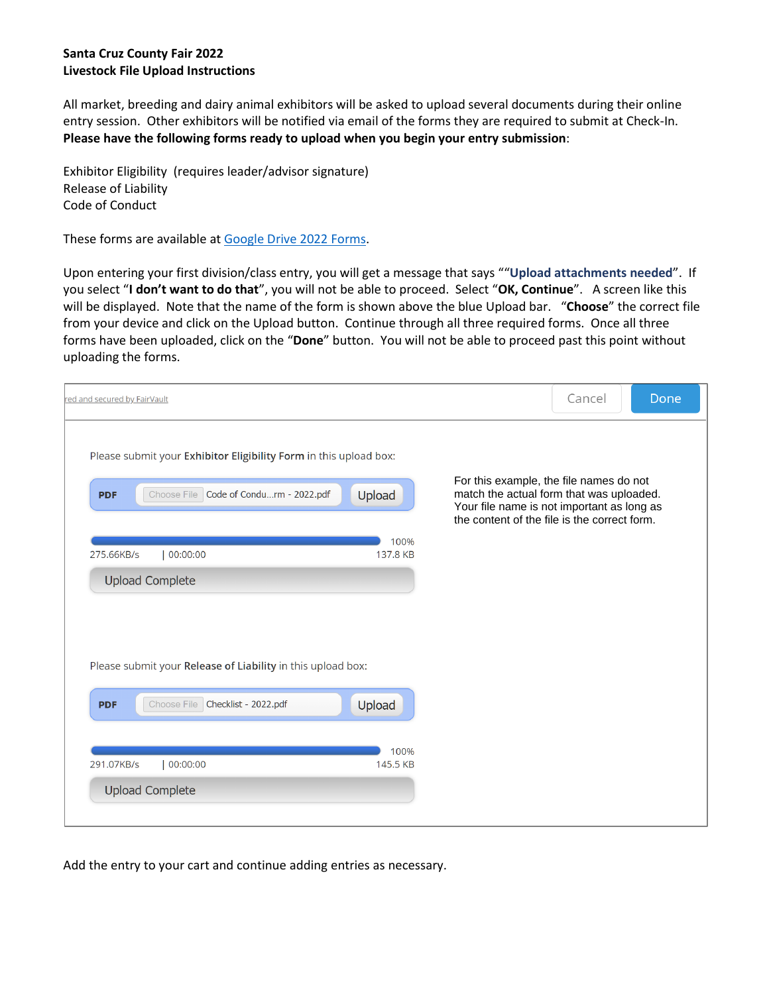## **Santa Cruz County Fair 2022 Livestock File Upload Instructions**

All market, breeding and dairy animal exhibitors will be asked to upload several documents during their online entry session. Other exhibitors will be notified via email of the forms they are required to submit at Check-In. **Please have the following forms ready to upload when you begin your entry submission**:

Exhibitor Eligibility (requires leader/advisor signature) Release of Liability Code of Conduct

These forms are available a[t Google Drive 2022 Forms.](https://drive.google.com/file/d/1uowKhjG4pU3NlG9ccP9l87aANPr7CC3_/view?usp=sharing)

Upon entering your first division/class entry, you will get a message that says ""**Upload attachments needed**". If you select "**I don't want to do that**", you will not be able to proceed. Select "**OK, Continue**". A screen like this will be displayed. Note that the name of the form is shown above the blue Upload bar. "**Choose**" the correct file from your device and click on the Upload button. Continue through all three required forms. Once all three forms have been uploaded, click on the "**Done**" button. You will not be able to proceed past this point without uploading the forms.

| red and secured by FairVault                                                                                                                                                                                                                                                                                             | Cancel | Done |
|--------------------------------------------------------------------------------------------------------------------------------------------------------------------------------------------------------------------------------------------------------------------------------------------------------------------------|--------|------|
| Please submit your Exhibitor Eligibility Form in this upload box:<br>For this example, the file names do not<br>Choose File Code of Condurm - 2022.pdf<br>Upload<br>match the actual form that was uploaded.<br><b>PDF</b><br>Your file name is not important as long as<br>the content of the file is the correct form. |        |      |
| 100%<br>00:00:00<br>137.8 KB<br>275.66KB/s<br><b>Upload Complete</b>                                                                                                                                                                                                                                                     |        |      |
| Please submit your Release of Liability in this upload box:                                                                                                                                                                                                                                                              |        |      |
| Choose File Checklist - 2022.pdf<br>Upload<br><b>PDF</b><br>100%<br>145.5 KB<br>291.07KB/s<br>00:00:00                                                                                                                                                                                                                   |        |      |
| <b>Upload Complete</b>                                                                                                                                                                                                                                                                                                   |        |      |

Add the entry to your cart and continue adding entries as necessary.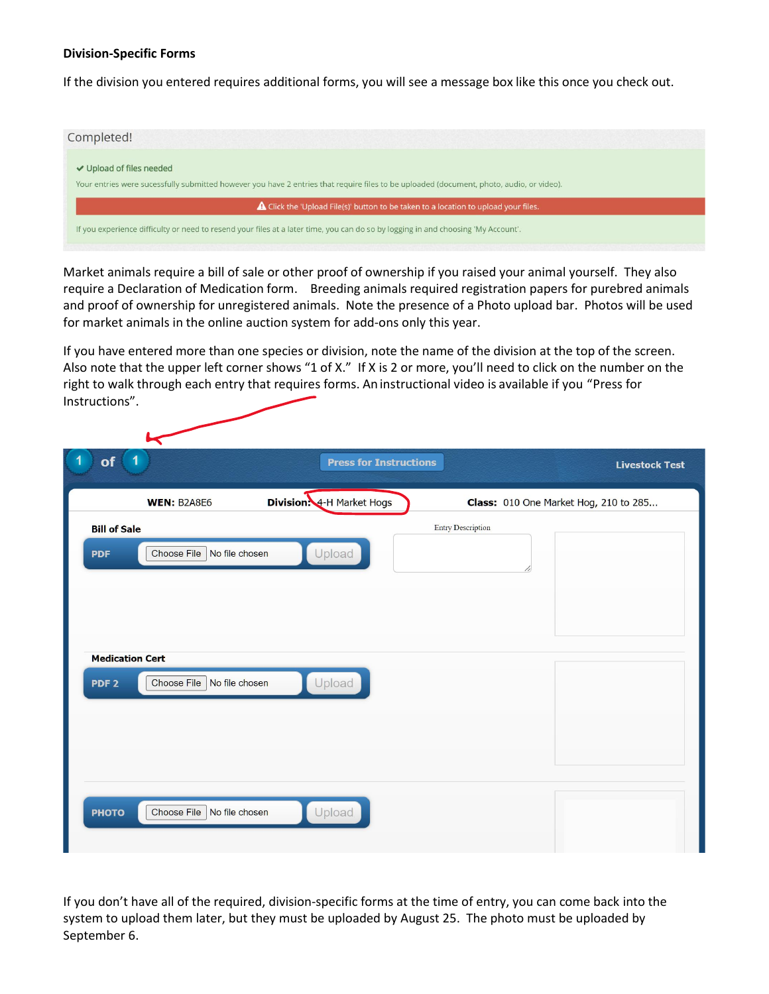## **Division-Specific Forms**

If the division you entered requires additional forms, you will see a message box like this once you check out.



Market animals require a bill of sale or other proof of ownership if you raised your animal yourself. They also require a Declaration of Medication form. Breeding animals required registration papers for purebred animals and proof of ownership for unregistered animals. Note the presence of a Photo upload bar. Photos will be used for market animals in the online auction system for add-ons only this year.

If you have entered more than one species or division, note the name of the division at the top of the screen. Also note that the upper left corner shows "1 of X." If X is 2 or more, you'll need to click on the number on the right to walk through each entry that requires forms. An instructional video is available if you "Press for Instructions".

| 1<br>of<br>$\vert$ 1                           | <b>Press for Instructions</b>    |                                       | <b>Livestock Test</b> |
|------------------------------------------------|----------------------------------|---------------------------------------|-----------------------|
| <b>WEN: B2A8E6</b>                             | <b>Division:</b> 4-H Market Hogs | Class: 010 One Market Hog, 210 to 285 |                       |
| <b>Bill of Sale</b>                            |                                  | <b>Entry Description</b>              |                       |
| Choose File<br>No file chosen<br><b>PDF</b>    | Upload                           |                                       |                       |
|                                                |                                  | 11                                    |                       |
|                                                |                                  |                                       |                       |
|                                                |                                  |                                       |                       |
| <b>Medication Cert</b>                         |                                  |                                       |                       |
| Choose File No file chosen<br>PDF <sub>2</sub> | Upload                           |                                       |                       |
|                                                |                                  |                                       |                       |
|                                                |                                  |                                       |                       |
|                                                |                                  |                                       |                       |
| Choose File<br>No file chosen<br><b>PHOTO</b>  | Upload                           |                                       |                       |
|                                                |                                  |                                       |                       |

If you don't have all of the required, division-specific forms at the time of entry, you can come back into the system to upload them later, but they must be uploaded by August 25. The photo must be uploaded by September 6.